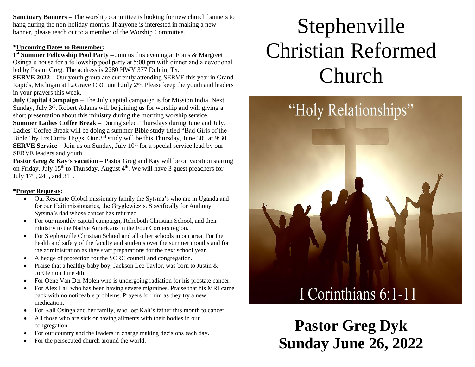**Sanctuary Banners –** The worship committee is looking for new church banners to hang during the non-holiday months. If anyone is interested in making a new banner, please reach out to a member of the Worship Committee.

#### **\*Upcoming Dates to Remember:**

**1 st Summer Fellowship Pool Party –** Join us this evening at Frans & Margreet Osinga's house for a fellowship pool party at 5:00 pm with dinner and a devotional led by Pastor Greg. The address is 2280 HWY 377 Dublin, Tx.

**SERVE 2022 –** Our youth group are currently attending SERVE this year in Grand Rapids, Michigan at LaGrave CRC until July  $2<sup>nd</sup>$ . Please keep the youth and leaders in your prayers this week.

**July Capital Campaign –** The July capital campaign is for Mission India. Next Sunday, July 3<sup>rd</sup>, Robert Adams will be joining us for worship and will giving a short presentation about this ministry during the morning worship service.

**Summer Ladies Coffee Break –** During select Thursdays during June and July, Ladies' Coffee Break will be doing a summer Bible study titled "Bad Girls of the Bible" by Liz Curtis Higgs. Our  $3^{rd}$  study will be this Thursday, June  $30^{th}$  at 9:30. **SERVE Service** – Join us on Sunday, July 10<sup>th</sup> for a special service lead by our SERVE leaders and youth.

**Pastor Greg & Kay's vacation** – Pastor Greg and Kay will be on vacation starting on Friday, July 15<sup>th</sup> to Thursday, August 4<sup>th</sup>. We will have 3 guest preachers for July 17<sup>th</sup>, 24<sup>th</sup>, and 31<sup>st</sup>.

#### **\*Prayer Requests:**

- Our Resonate Global missionary family the Sytsma's who are in Uganda and for our Haiti missionaries, the Gryglewicz's. Specifically for Anthony Sytsma's dad whose cancer has returned.
- For our monthly capital campaign, Rehoboth Christian School, and their ministry to the Native Americans in the Four Corners region.
- For Stephenville Christian School and all other schools in our area. For the health and safety of the faculty and students over the summer months and for the administration as they start preparations for the next school year.
- A hedge of protection for the SCRC council and congregation.
- Praise that a healthy baby boy, Jackson Lee Taylor, was born to Justin & JoEllen on June 4th.
- For Oene Van Der Molen who is undergoing radiation for his prostate cancer.
- For Alex Lail who has been having severe migraines. Praise that his MRI came back with no noticeable problems. Prayers for him as they try a new medication.
- For Kali Osinga and her family, who lost Kali's father this month to cancer.
- All those who are sick or having ailments with their bodies in our congregation.
- For our country and the leaders in charge making decisions each day.
- For the persecuted church around the world.

# Stephenville Christian Reformed Church



**Pastor Greg Dyk Sunday June 26, 2022**